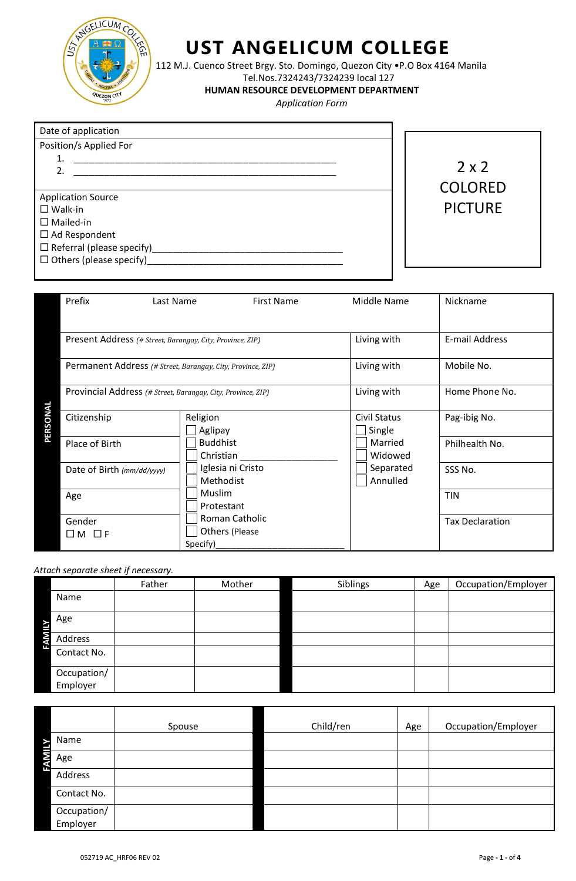

## **UST ANGELICUM COLLEGE**

112 M.J. Cuenco Street Brgy. Sto. Domingo, Quezon City •P.O Box 4164 Manila

Tel.Nos.7324243/7324239 local 127

 **HUMAN RESOURCE DEVELOPMENT DEPARTMENT**

 *Application Form*

| Date of application              |  |  |  |  |  |  |
|----------------------------------|--|--|--|--|--|--|
| Position/s Applied For           |  |  |  |  |  |  |
| $\mathbf{1}$ .                   |  |  |  |  |  |  |
| 2.                               |  |  |  |  |  |  |
|                                  |  |  |  |  |  |  |
| <b>Application Source</b>        |  |  |  |  |  |  |
| $\square$ Walk-in                |  |  |  |  |  |  |
| $\Box$ Mailed-in                 |  |  |  |  |  |  |
| $\Box$ Ad Respondent             |  |  |  |  |  |  |
| $\Box$ Referral (please specify) |  |  |  |  |  |  |
| $\Box$ Others (please specify)   |  |  |  |  |  |  |



| Prefix                                                                                                                   | Last Name                         | <b>First Name</b> |             | Middle Name            | Nickname               |
|--------------------------------------------------------------------------------------------------------------------------|-----------------------------------|-------------------|-------------|------------------------|------------------------|
|                                                                                                                          |                                   |                   |             |                        |                        |
| Present Address (# Street, Barangay, City, Province, ZIP)<br>Permanent Address (# Street, Barangay, City, Province, ZIP) |                                   |                   |             | Living with            | E-mail Address         |
|                                                                                                                          |                                   |                   |             | Living with            | Mobile No.             |
| Provincial Address (# Street, Barangay, City, Province, ZIP)                                                             |                                   |                   | Living with | Home Phone No.         |                        |
| Citizenship                                                                                                              | Religion<br>Aglipay               |                   |             | Civil Status<br>Single | Pag-ibig No.           |
| Place of Birth                                                                                                           | <b>Buddhist</b><br>Christian      |                   |             | Married<br>Widowed     | Philhealth No.         |
| Date of Birth (mm/dd/yyyy)                                                                                               | Methodist                         | Iglesia ni Cristo |             | Separated<br>Annulled  | SSS No.                |
| Age                                                                                                                      | Muslim<br>Protestant              |                   |             |                        | <b>TIN</b>             |
| Gender<br>Πм<br>$\Box$ F                                                                                                 | <b>Others (Please</b><br>Specify) | Roman Catholic    |             |                        | <b>Tax Declaration</b> |

*Attach separate sheet if necessary.*

|                         | Father | Mother | Siblings | Age | Occupation/Employer |
|-------------------------|--------|--------|----------|-----|---------------------|
| Name                    |        |        |          |     |                     |
| Age                     |        |        |          |     |                     |
| Address<br>э            |        |        |          |     |                     |
| Contact No.             |        |        |          |     |                     |
| Occupation/<br>Employer |        |        |          |     |                     |

|                |                         | Spouse | Child/ren | Age | Occupation/Employer |
|----------------|-------------------------|--------|-----------|-----|---------------------|
|                | Name                    |        |           |     |                     |
| l<br>Age<br>эτ |                         |        |           |     |                     |
| ŢП,            | Address                 |        |           |     |                     |
|                | Contact No.             |        |           |     |                     |
|                | Occupation/<br>Employer |        |           |     |                     |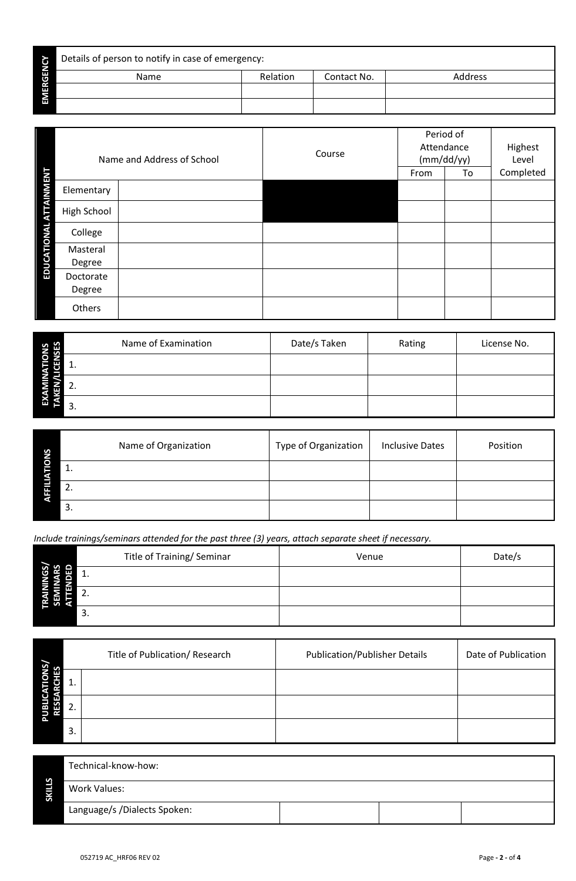| $\mathbf \omega$ | Details of person to notify in case of emergency: |          |             |                |  |  |  |  |
|------------------|---------------------------------------------------|----------|-------------|----------------|--|--|--|--|
| ш<br>σ           | <b>Name</b>                                       | Relation | Contact No. | <b>Address</b> |  |  |  |  |
| ш                |                                                   |          |             |                |  |  |  |  |
| ш                |                                                   |          |             |                |  |  |  |  |

|                                   | Name and Address of School | Course | Period of<br>Attendance<br>(mm/dd/yy)<br>From<br>To |  | Highest<br>Level<br>Completed |
|-----------------------------------|----------------------------|--------|-----------------------------------------------------|--|-------------------------------|
| <b>ATTAINMENT</b><br>Elementary   |                            |        |                                                     |  |                               |
| High School                       |                            |        |                                                     |  |                               |
| College                           |                            |        |                                                     |  |                               |
| EDUCATIONAL<br>Masteral<br>Degree |                            |        |                                                     |  |                               |
| Doctorate<br>Degree               |                            |        |                                                     |  |                               |
| Others                            |                            |        |                                                     |  |                               |

| <b>ONS<br/>NSES</b> | Name of Examination | Date/s Taken | Rating | License No. |
|---------------------|---------------------|--------------|--------|-------------|
|                     |                     |              |        |             |
|                     |                     |              |        |             |
| ш                   | 3.                  |              |        |             |

| S<br>œ | Name of Organization | Type of Organization | <b>Inclusive Dates</b> | Position |
|--------|----------------------|----------------------|------------------------|----------|
| റ      | . .                  |                      |                        |          |
| ŢП     | ົ<br><u>.</u>        |                      |                        |          |
|        | 3.                   |                      |                        |          |

*Include trainings/seminars attended for the past three (3) years, attach separate sheet if necessary.*

|    | Title of Training/ Seminar | Venue | Date/s |
|----|----------------------------|-------|--------|
| װש |                            |       |        |
|    | L.                         |       |        |
| −  |                            |       |        |

| জ<br>n |     | Title of Publication/ Research | <b>Publication/Publisher Details</b> | Date of Publication |
|--------|-----|--------------------------------|--------------------------------------|---------------------|
|        |     |                                |                                      |                     |
|        |     |                                |                                      |                     |
| o.     | -3. |                                |                                      |                     |

| S<br>-<br>Ŋ<br>S | Technical-know-how:          |  |  |  |  |
|------------------|------------------------------|--|--|--|--|
|                  | <b>Work Values:</b>          |  |  |  |  |
|                  | Language/s /Dialects Spoken: |  |  |  |  |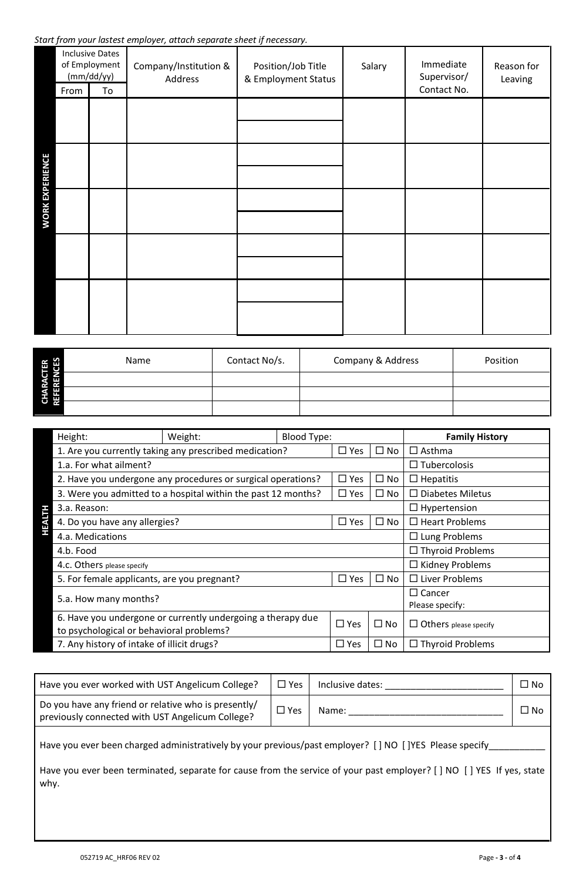*Start from your lastest employer, attach separate sheet if necessary.*

|                        |      | <b>Inclusive Dates</b><br>of Employment<br>(mm/dd/yy) | Company/Institution &<br>Address | Position/Job Title<br>& Employment Status | Salary | Immediate<br>Supervisor/ | Reason for<br>Leaving |
|------------------------|------|-------------------------------------------------------|----------------------------------|-------------------------------------------|--------|--------------------------|-----------------------|
|                        | From | To                                                    |                                  |                                           |        | Contact No.              |                       |
|                        |      |                                                       |                                  |                                           |        |                          |                       |
|                        |      |                                                       |                                  |                                           |        |                          |                       |
| <b>WORK EXPERIENCE</b> |      |                                                       |                                  |                                           |        |                          |                       |
|                        |      |                                                       |                                  |                                           |        |                          |                       |
|                        |      |                                                       |                                  |                                           |        |                          |                       |

| <b>ADD</b><br>œ<br>ш | Name | Contact No/s. | <b>Company &amp; Address</b> | Position |
|----------------------|------|---------------|------------------------------|----------|
| e<br>E<br>œ<br>æ     |      |               |                              |          |
| E                    |      |               |                              |          |
| O                    |      |               |                              |          |

| Height:                                                       | Weight:                                                     | <b>Blood Type:</b> |               |                                  | <b>Family History</b>        |
|---------------------------------------------------------------|-------------------------------------------------------------|--------------------|---------------|----------------------------------|------------------------------|
|                                                               | 1. Are you currently taking any prescribed medication?      |                    | $\square$ Yes | $\square$ No                     | $\Box$ Asthma                |
| 1.a. For what ailment?                                        |                                                             |                    |               |                                  | $\Box$ Tubercolosis          |
| 2. Have you undergone any procedures or surgical operations?  |                                                             |                    | $\square$ Yes | $\square$ No                     | $\Box$ Hepatitis             |
| 3. Were you admitted to a hospital within the past 12 months? |                                                             |                    | $\square$ Yes | $\square$ No                     | $\Box$ Diabetes Miletus      |
| 3.a. Reason:                                                  |                                                             |                    |               |                                  | $\Box$ Hypertension          |
| VЗH                                                           | 4. Do you have any allergies?                               |                    | $\square$ Yes | $\square$ No                     | $\Box$ Heart Problems        |
| 4.a. Medications                                              |                                                             |                    |               |                                  | $\Box$ Lung Problems         |
| 4.b. Food                                                     |                                                             |                    |               |                                  | $\Box$ Thyroid Problems      |
| 4.c. Others please specify                                    |                                                             |                    |               | $\Box$ Kidney Problems           |                              |
| 5. For female applicants, are you pregnant?                   |                                                             |                    | $\Box$ Yes    | $\square$ No                     | $\Box$ Liver Problems        |
| 5.a. How many months?                                         |                                                             |                    |               | $\Box$ Cancer<br>Please specify: |                              |
| to psychological or behavioral problems?                      | 6. Have you undergone or currently undergoing a therapy due |                    | $\Box$ Yes    | $\square$ No                     | $\Box$ Others please specify |
| 7. Any history of intake of illicit drugs?                    |                                                             |                    | $\square$ Yes | $\square$ No                     | $\Box$ Thyroid Problems      |

| Have you ever worked with UST Angelicum College?                                                         | $\Box$ Yes | Inclusive dates: | $\square$ No |  |  |  |  |  |  |
|----------------------------------------------------------------------------------------------------------|------------|------------------|--------------|--|--|--|--|--|--|
| Do you have any friend or relative who is presently/<br>previously connected with UST Angelicum College? | $\Box$ Yes | Name:            | ∩ No         |  |  |  |  |  |  |
| Have you ever been charged administratively by your previous/past employer? [] NO []YES Please specify   |            |                  |              |  |  |  |  |  |  |

Have you ever been terminated, separate for cause from the service of your past employer? [ ] NO [ ] YES If yes, state why.